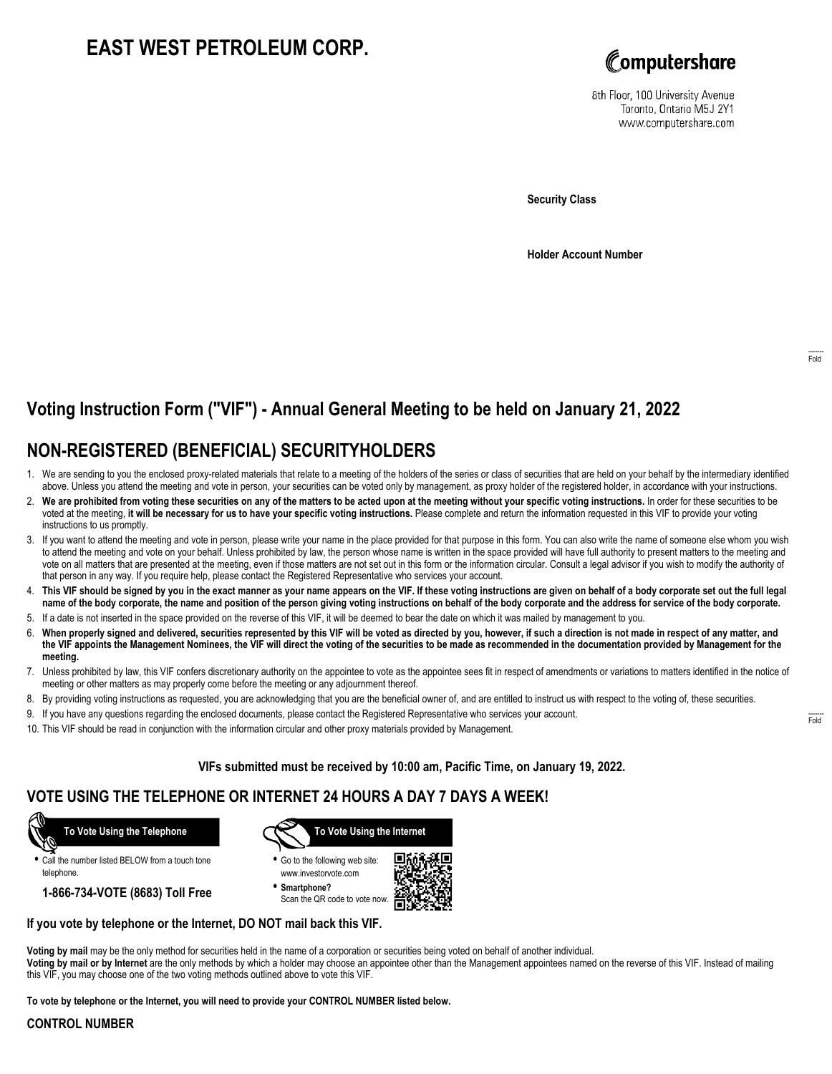# **EAST WEST PETROLEUM CORP.**



8th Floor, 100 University Avenue Toronto, Ontario M5J 2Y1 www.computershare.com

**Security Class**

**Holder Account Number**

## **Voting Instruction Form ("VIF") - Annual General Meeting to be held on January 21, 2022**

## **NON-REGISTERED (BENEFICIAL) SECURITYHOLDERS**

- 1. We are sending to you the enclosed proxy-related materials that relate to a meeting of the holders of the series or class of securities that are held on your behalf by the intermediary identified above. Unless you attend the meeting and vote in person, your securities can be voted only by management, as proxy holder of the registered holder, in accordance with your instructions.
- 2. **We are prohibited from voting these securities on any of the matters to be acted upon at the meeting without your specific voting instructions.** In order for these securities to be voted at the meeting, **it will be necessary for us to have your specific voting instructions.** Please complete and return the information requested in this VIF to provide your voting instructions to us promptly.
- 3. If you want to attend the meeting and vote in person, please write your name in the place provided for that purpose in this form. You can also write the name of someone else whom you wish to attend the meeting and vote on your behalf. Unless prohibited by law, the person whose name is written in the space provided will have full authority to present matters to the meeting and vote on all matters that are presented at the meeting, even if those matters are not set out in this form or the information circular. Consult a legal advisor if you wish to modify the authority of that person in any way. If you require help, please contact the Registered Representative who services your account.
- 4. **This VIF should be signed by you in the exact manner as your name appears on the VIF. If these voting instructions are given on behalf of a body corporate set out the full legal name of the body corporate, the name and position of the person giving voting instructions on behalf of the body corporate and the address for service of the body corporate.**
- 5. If a date is not inserted in the space provided on the reverse of this VIF, it will be deemed to bear the date on which it was mailed by management to you.
- 6. **When properly signed and delivered, securities represented by this VIF will be voted as directed by you, however, if such a direction is not made in respect of any matter, and the VIF appoints the Management Nominees, the VIF will direct the voting of the securities to be made as recommended in the documentation provided by Management for the meeting.**
- 7. Unless prohibited by law, this VIF confers discretionary authority on the appointee to vote as the appointee sees fit in respect of amendments or variations to matters identified in the notice of meeting or other matters as may properly come before the meeting or any adjournment thereof.
- 8. By providing voting instructions as requested, you are acknowledging that you are the beneficial owner of, and are entitled to instruct us with respect to the voting of, these securities.
- 9. If you have any questions regarding the enclosed documents, please contact the Registered Representative who services your account.
- 10. This VIF should be read in conjunction with the information circular and other proxy materials provided by Management.

**VIFs submitted must be received by 10:00 am, Pacific Time, on January 19, 2022.**

### **VOTE USING THE TELEPHONE OR INTERNET 24 HOURS A DAY 7 DAYS A WEEK!**



**•** Call the number listed BELOW from a touch tone telephone.

**1-866-734-VOTE (8683) Toll Free**



**•** Go to the following web site: www.investorvote.com

**• Smartphone?** Scan the QR code to vote now.



### **If you vote by telephone or the Internet, DO NOT mail back this VIF.**

**Voting by mail** may be the only method for securities held in the name of a corporation or securities being voted on behalf of another individual. **Voting by mail or by Internet** are the only methods by which a holder may choose an appointee other than the Management appointees named on the reverse of this VIF. Instead of mailing this VIF, you may choose one of the two voting methods outlined above to vote this VIF.

**To vote by telephone or the Internet, you will need to provide your CONTROL NUMBER listed below.**

#### **CONTROL NUMBER**